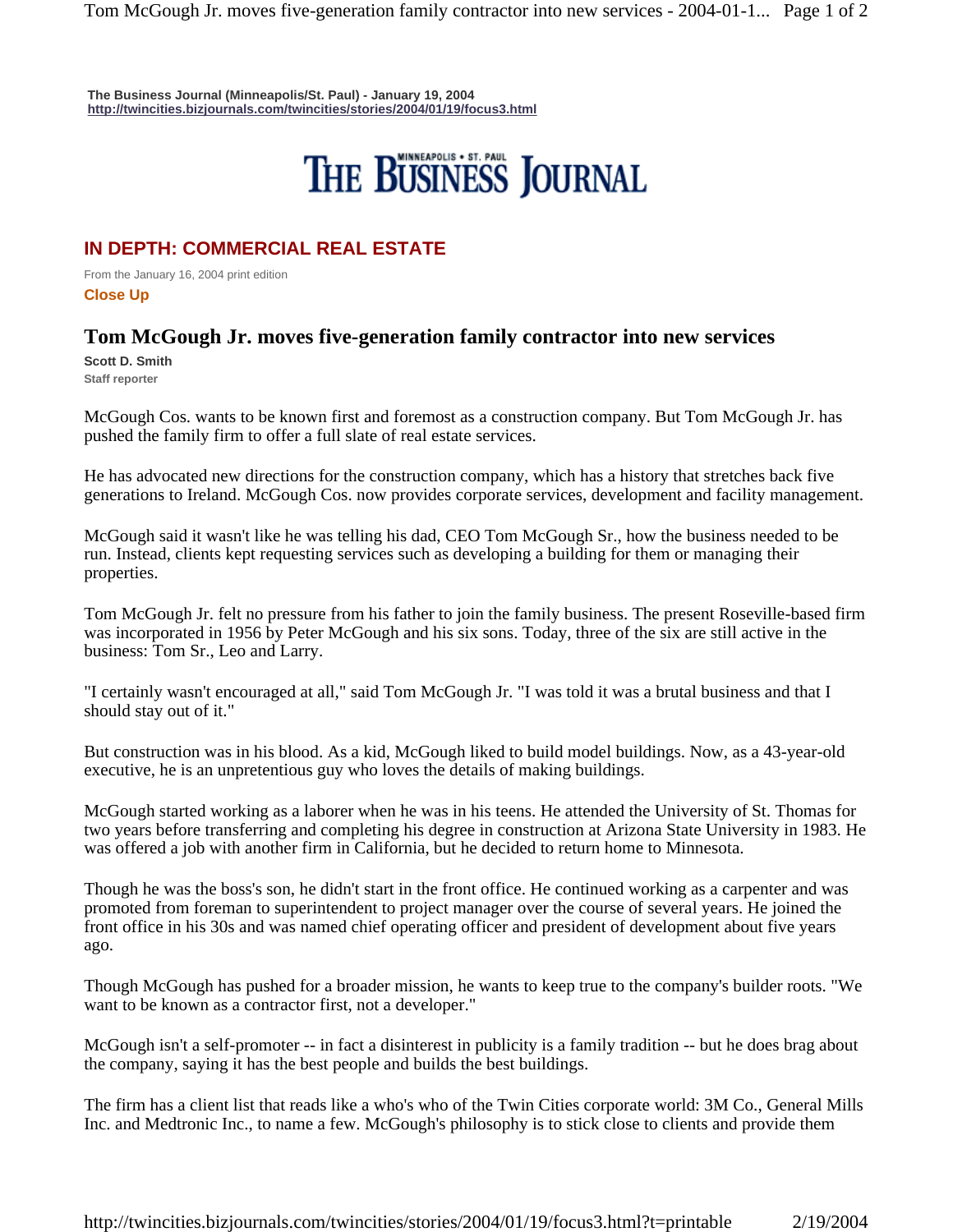**The Business Journal (Minneapolis/St. Paul) - January 19, 2004 http://twincities.bizjournals.com/twincities/stories/2004/01/19/focus3.html**

## THE BUSINESS JOURNAL

## **IN DEPTH: COMMERCIAL REAL ESTATE**

From the January 16, 2004 print edition **Close Up** 

## **Tom McGough Jr. moves five-generation family contractor into new services**

**Scott D. Smith Staff reporter** 

McGough Cos. wants to be known first and foremost as a construction company. But Tom McGough Jr. has pushed the family firm to offer a full slate of real estate services.

He has advocated new directions for the construction company, which has a history that stretches back five generations to Ireland. McGough Cos. now provides corporate services, development and facility management.

McGough said it wasn't like he was telling his dad, CEO Tom McGough Sr., how the business needed to be run. Instead, clients kept requesting services such as developing a building for them or managing their properties.

Tom McGough Jr. felt no pressure from his father to join the family business. The present Roseville-based firm was incorporated in 1956 by Peter McGough and his six sons. Today, three of the six are still active in the business: Tom Sr., Leo and Larry.

"I certainly wasn't encouraged at all," said Tom McGough Jr. "I was told it was a brutal business and that I should stay out of it."

But construction was in his blood. As a kid, McGough liked to build model buildings. Now, as a 43-year-old executive, he is an unpretentious guy who loves the details of making buildings.

McGough started working as a laborer when he was in his teens. He attended the University of St. Thomas for two years before transferring and completing his degree in construction at Arizona State University in 1983. He was offered a job with another firm in California, but he decided to return home to Minnesota.

Though he was the boss's son, he didn't start in the front office. He continued working as a carpenter and was promoted from foreman to superintendent to project manager over the course of several years. He joined the front office in his 30s and was named chief operating officer and president of development about five years ago.

Though McGough has pushed for a broader mission, he wants to keep true to the company's builder roots. "We want to be known as a contractor first, not a developer."

McGough isn't a self-promoter -- in fact a disinterest in publicity is a family tradition -- but he does brag about the company, saying it has the best people and builds the best buildings.

The firm has a client list that reads like a who's who of the Twin Cities corporate world: 3M Co., General Mills Inc. and Medtronic Inc., to name a few. McGough's philosophy is to stick close to clients and provide them

http://twincities.bizjournals.com/twincities/stories/2004/01/19/focus3.html?t=printable 2/19/2004